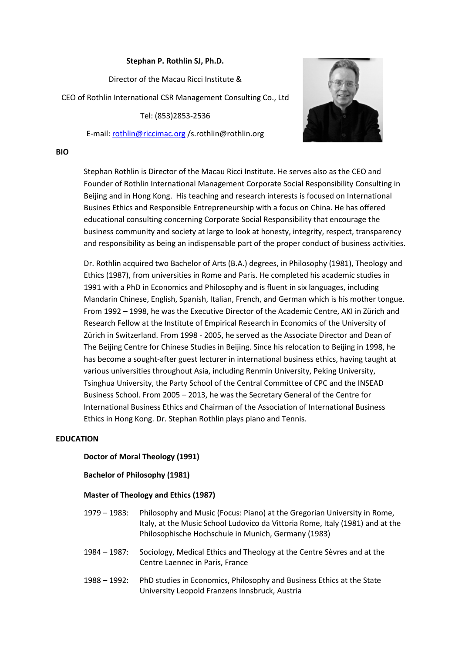# **Stephan P. Rothlin SJ, Ph.D.**

Director of the Macau Ricci Institute & CEO of Rothlin International CSR Management Consulting Co., Ltd Tel: (853)2853-2536

E-mail: [rothlin@riccimac.org](mailto:rothlin@riccimac.org) /s.rothlin@rothlin.org



#### **BIO**

Stephan Rothlin is Director of the Macau Ricci Institute. He serves also as the CEO and Founder of Rothlin International Management Corporate Social Responsibility Consulting in Beijing and in Hong Kong. His teaching and research interests is focused on International Busines Ethics and Responsible Entrepreneurship with a focus on China. He has offered educational consulting concerning Corporate Social Responsibility that encourage the business community and society at large to look at honesty, integrity, respect, transparency and responsibility as being an indispensable part of the proper conduct of business activities.

Dr. Rothlin acquired two Bachelor of Arts (B.A.) degrees, in Philosophy (1981), Theology and Ethics (1987), from universities in Rome and Paris. He completed his academic studies in 1991 with a PhD in Economics and Philosophy and is fluent in six languages, including Mandarin Chinese, English, Spanish, Italian, French, and German which is his mother tongue. From 1992 – 1998, he was the Executive Director of the Academic Centre, AKI in Zürich and Research Fellow at the Institute of Empirical Research in Economics of the University of Zürich in Switzerland. From 1998 - 2005, he served as the Associate Director and Dean of The Beijing Centre for Chinese Studies in Beijing. Since his relocation to Beijing in 1998, he has become a sought-after guest lecturer in international business ethics, having taught at various universities throughout Asia, including Renmin University, Peking University, Tsinghua University, the Party School of the Central Committee of CPC and the INSEAD Business School. From 2005 – 2013, he was the Secretary General of the Centre for International Business Ethics and Chairman of the Association of International Business Ethics in Hong Kong. Dr. Stephan Rothlin plays piano and Tennis.

### **EDUCATION**

# **Doctor of Moral Theology (1991)**

### **Bachelor of Philosophy (1981)**

### **Master of Theology and Ethics (1987)**

- 1979 1983: Philosophy and Music (Focus: Piano) at the Gregorian University in Rome, Italy, at the Music School Ludovico da Vittoria Rome, Italy (1981) and at the Philosophische Hochschule in Munich, Germany (1983)
- 1984 1987: Sociology, Medical Ethics and Theology at the Centre Sèvres and at the Centre Laennec in Paris, France
- 1988 1992: PhD studies in Economics, Philosophy and Business Ethics at the State University Leopold Franzens Innsbruck, Austria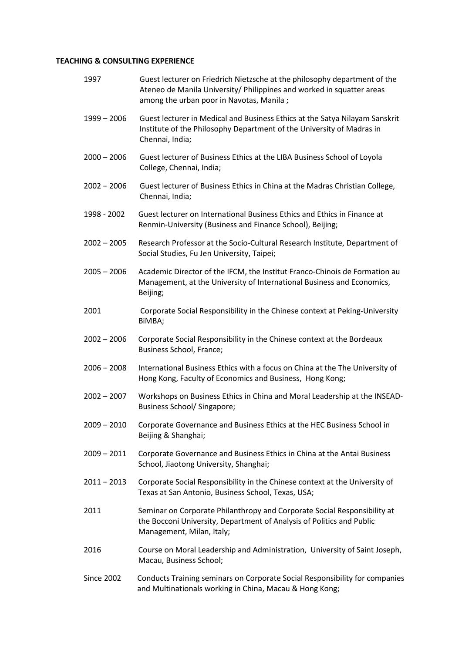# **TEACHING & CONSULTING EXPERIENCE**

| 1997              | Guest lecturer on Friedrich Nietzsche at the philosophy department of the<br>Ateneo de Manila University/ Philippines and worked in squatter areas<br>among the urban poor in Navotas, Manila; |
|-------------------|------------------------------------------------------------------------------------------------------------------------------------------------------------------------------------------------|
| $1999 - 2006$     | Guest lecturer in Medical and Business Ethics at the Satya Nilayam Sanskrit<br>Institute of the Philosophy Department of the University of Madras in<br>Chennai, India;                        |
| $2000 - 2006$     | Guest lecturer of Business Ethics at the LIBA Business School of Loyola<br>College, Chennai, India;                                                                                            |
| $2002 - 2006$     | Guest lecturer of Business Ethics in China at the Madras Christian College,<br>Chennai, India;                                                                                                 |
| 1998 - 2002       | Guest lecturer on International Business Ethics and Ethics in Finance at<br>Renmin-University (Business and Finance School), Beijing;                                                          |
| $2002 - 2005$     | Research Professor at the Socio-Cultural Research Institute, Department of<br>Social Studies, Fu Jen University, Taipei;                                                                       |
| $2005 - 2006$     | Academic Director of the IFCM, the Institut Franco-Chinois de Formation au<br>Management, at the University of International Business and Economics,<br>Beijing;                               |
| 2001              | Corporate Social Responsibility in the Chinese context at Peking-University<br>BIMBA;                                                                                                          |
| $2002 - 2006$     | Corporate Social Responsibility in the Chinese context at the Bordeaux<br>Business School, France;                                                                                             |
| $2006 - 2008$     | International Business Ethics with a focus on China at the The University of<br>Hong Kong, Faculty of Economics and Business, Hong Kong;                                                       |
| $2002 - 2007$     | Workshops on Business Ethics in China and Moral Leadership at the INSEAD-<br>Business School/ Singapore;                                                                                       |
| $2009 - 2010$     | Corporate Governance and Business Ethics at the HEC Business School in<br>Beijing & Shanghai;                                                                                                  |
| $2009 - 2011$     | Corporate Governance and Business Ethics in China at the Antai Business<br>School, Jiaotong University, Shanghai;                                                                              |
| $2011 - 2013$     | Corporate Social Responsibility in the Chinese context at the University of<br>Texas at San Antonio, Business School, Texas, USA;                                                              |
| 2011              | Seminar on Corporate Philanthropy and Corporate Social Responsibility at<br>the Bocconi University, Department of Analysis of Politics and Public<br>Management, Milan, Italy;                 |
| 2016              | Course on Moral Leadership and Administration, University of Saint Joseph,<br>Macau, Business School;                                                                                          |
| <b>Since 2002</b> | Conducts Training seminars on Corporate Social Responsibility for companies<br>and Multinationals working in China, Macau & Hong Kong;                                                         |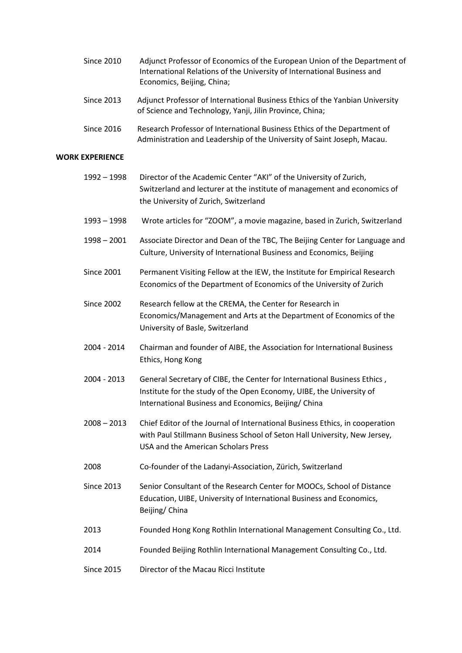| Since 2010 | Adjunct Professor of Economics of the European Union of the Department of |
|------------|---------------------------------------------------------------------------|
|            | International Relations of the University of International Business and   |
|            | Economics, Beijing, China;                                                |

- Since 2013 Adjunct Professor of International Business Ethics of the Yanbian University of Science and Technology, Yanji, Jilin Province, China;
- Since 2016 Research Professor of International Business Ethics of the Department of Administration and Leadership of the University of Saint Joseph, Macau.

# **WORK EXPERIENCE**

| $1992 - 1998$     | Director of the Academic Center "AKI" of the University of Zurich,<br>Switzerland and lecturer at the institute of management and economics of<br>the University of Zurich, Switzerland                 |
|-------------------|---------------------------------------------------------------------------------------------------------------------------------------------------------------------------------------------------------|
| $1993 - 1998$     | Wrote articles for "ZOOM", a movie magazine, based in Zurich, Switzerland                                                                                                                               |
| $1998 - 2001$     | Associate Director and Dean of the TBC, The Beijing Center for Language and<br>Culture, University of International Business and Economics, Beijing                                                     |
| <b>Since 2001</b> | Permanent Visiting Fellow at the IEW, the Institute for Empirical Research<br>Economics of the Department of Economics of the University of Zurich                                                      |
| <b>Since 2002</b> | Research fellow at the CREMA, the Center for Research in<br>Economics/Management and Arts at the Department of Economics of the<br>University of Basle, Switzerland                                     |
| 2004 - 2014       | Chairman and founder of AIBE, the Association for International Business<br>Ethics, Hong Kong                                                                                                           |
| 2004 - 2013       | General Secretary of CIBE, the Center for International Business Ethics,<br>Institute for the study of the Open Economy, UIBE, the University of<br>International Business and Economics, Beijing/China |
| $2008 - 2013$     | Chief Editor of the Journal of International Business Ethics, in cooperation<br>with Paul Stillmann Business School of Seton Hall University, New Jersey,<br>USA and the American Scholars Press        |
| 2008              | Co-founder of the Ladanyi-Association, Zürich, Switzerland                                                                                                                                              |
| <b>Since 2013</b> | Senior Consultant of the Research Center for MOOCs, School of Distance<br>Education, UIBE, University of International Business and Economics,<br>Beijing/ China                                        |
| 2013              | Founded Hong Kong Rothlin International Management Consulting Co., Ltd.                                                                                                                                 |
| 2014              | Founded Beijing Rothlin International Management Consulting Co., Ltd.                                                                                                                                   |
| <b>Since 2015</b> | Director of the Macau Ricci Institute                                                                                                                                                                   |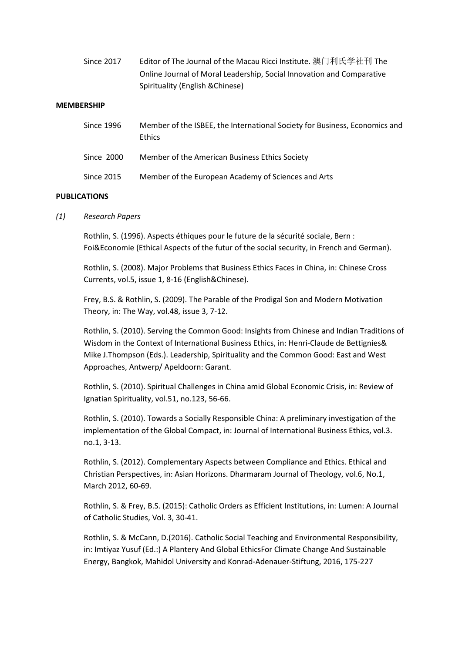| Since 2017 | Editor of The Journal of the Macau Ricci Institute. 澳门利氏学社刊 The       |
|------------|-----------------------------------------------------------------------|
|            | Online Journal of Moral Leadership, Social Innovation and Comparative |
|            | Spirituality (English & Chinese)                                      |

#### **MEMBERSHIP**

| Since 1996 | Member of the ISBEE, the International Society for Business, Economics and<br><b>Ethics</b> |
|------------|---------------------------------------------------------------------------------------------|
| Since 2000 | Member of the American Business Ethics Society                                              |
| Since 2015 | Member of the European Academy of Sciences and Arts                                         |

#### **PUBLICATIONS**

*(1) Research Papers*

Rothlin, S. (1996). Aspects éthiques pour le future de la sécurité sociale, Bern : Foi&Economie (Ethical Aspects of the futur of the social security, in French and German).

Rothlin, S. (2008). Major Problems that Business Ethics Faces in China, in: Chinese Cross Currents, vol.5, issue 1, 8-16 (English&Chinese).

Frey, B.S. & Rothlin, S. (2009). The Parable of the Prodigal Son and Modern Motivation Theory, in: The Way, vol.48, issue 3, 7-12.

Rothlin, S. (2010). Serving the Common Good: Insights from Chinese and Indian Traditions of Wisdom in the Context of International Business Ethics, in: Henri-Claude de Bettignies& Mike J.Thompson (Eds.). Leadership, Spirituality and the Common Good: East and West Approaches, Antwerp/ Apeldoorn: Garant.

Rothlin, S. (2010). Spiritual Challenges in China amid Global Economic Crisis, in: Review of Ignatian Spirituality, vol.51, no.123, 56-66.

Rothlin, S. (2010). Towards a Socially Responsible China: A preliminary investigation of the implementation of the Global Compact, in: Journal of International Business Ethics, vol.3. no.1, 3-13.

Rothlin, S. (2012). Complementary Aspects between Compliance and Ethics. Ethical and Christian Perspectives, in: Asian Horizons. Dharmaram Journal of Theology, vol.6, No.1, March 2012, 60-69.

Rothlin, S. & Frey, B.S. (2015): Catholic Orders as Efficient Institutions, in: Lumen: A Journal of Catholic Studies, Vol. 3, 30-41.

Rothlin, S. & McCann, D.(2016). Catholic Social Teaching and Environmental Responsibility, in: Imtiyaz Yusuf (Ed.:) A Plantery And Global EthicsFor Climate Change And Sustainable Energy, Bangkok, Mahidol University and Konrad-Adenauer-Stiftung, 2016, 175-227